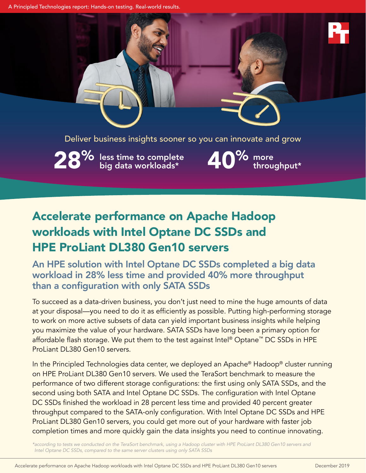A Principled Technologies report: Hands-on testing. Real-world results.

Deliver business insights sooner so you can innovate and grow

 $28\%$  less time to complete  $40\%$  more throughput\*  $\frac{9}{6}$  more<br>throughput\*

# Accelerate performance on Apache Hadoop workloads with Intel Optane DC SSDs and HPE ProLiant DL380 Gen10 servers

An HPE solution with Intel Optane DC SSDs completed a big data workload in 28% less time and provided 40% more throughput than a configuration with only SATA SSDs

To succeed as a data-driven business, you don't just need to mine the huge amounts of data at your disposal—you need to do it as efficiently as possible. Putting high-performing storage to work on more active subsets of data can yield important business insights while helping you maximize the value of your hardware. SATA SSDs have long been a primary option for affordable flash storage. We put them to the test against Intel® Optane™ DC SSDs in HPE ProLiant DL380 Gen10 servers.

In the Principled Technologies data center, we deployed an Apache® Hadoop® cluster running on HPE ProLiant DL380 Gen10 servers. We used the TeraSort benchmark to measure the performance of two different storage configurations: the first using only SATA SSDs, and the second using both SATA and Intel Optane DC SSDs. The configuration with Intel Optane DC SSDs finished the workload in 28 percent less time and provided 40 percent greater throughput compared to the SATA-only configuration. With Intel Optane DC SSDs and HPE ProLiant DL380 Gen10 servers, you could get more out of your hardware with faster job completion times and more quickly gain the data insights you need to continue innovating.

*\*according to tests we conducted on the TeraSort benchmark, using a Hadoop cluster with HPE ProLiant DL380 Gen10 servers and Intel Optane DC SSDs, compared to the same server clusters using only SATA SSDs*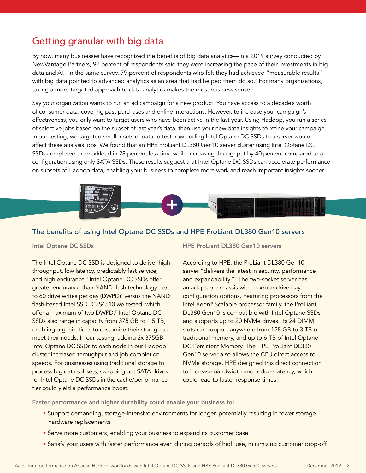# Getting granular with big data

By now, many businesses have recognized the benefits of big data analytics—in a 2019 survey conducted by NewVantage Partners, 92 percent of respondents said they were increasing the pace of their investments in big data and AI.[1](#page-4-0) In the same survey, 79 percent of respondents who felt they had achieved "measurable results" with big data pointed to advanced analytics as an area that had helped them do so. $^2$  $^2$  For many organizations, taking a more targeted approach to data analytics makes the most business sense.

Say your organization wants to run an ad campaign for a new product. You have access to a decade's worth of consumer data, covering past purchases and online interactions. However, to increase your campaign's effectiveness, you only want to target users who have been active in the last year. Using Hadoop, you run a series of selective jobs based on the subset of last year's data, then use your new data insights to refine your campaign. In our testing, we targeted smaller sets of data to test how adding Intel Optane DC SSDs to a server would affect these analysis jobs. We found that an HPE ProLiant DL380 Gen10 server cluster using Intel Optane DC SSDs completed the workload in 28 percent less time while increasing throughput by 40 percent compared to a configuration using only SATA SSDs. These results suggest that Intel Optane DC SSDs can accelerate performance on subsets of Hadoop data, enabling your business to complete more work and reach important insights sooner.



#### The benefits of using Intel Optane DC SSDs and HPE ProLiant DL380 Gen10 servers

The Intel Optane DC SSD is designed to deliver high throughput, low latency, predictably fast service, and high endurance[.3](#page-4-2) Intel Optane DC SSDs offer greater endurance than NAND flash technology: up to 60 drive writes per day (DWPD)<sup>4</sup> versus the NAND flash-based Intel SSD D3-S4510 we tested, which offer a maximum of two DWPD.<sup>[5](#page-4-4)</sup> Intel Optane DC SSDs also range in capacity from 375 GB to 1.5 TB, enabling organizations to customize their storage to meet their needs. In our testing, adding 2x 375GB Intel Optane DC SSDs to each node in our Hadoop cluster increased throughput and job completion speeds. For businesses using traditional storage to process big data subsets, swapping out SATA drives for Intel Optane DC SSDs in the cache/performance tier could yield a performance boost.

#### Intel Optane DC SSDs **HPE ProLiant DL380 Gen10 servers**

According to HPE, the ProLiant DL380 Gen10 server "delivers the latest in security, performance and expandability."<sup>[6](#page-4-5)</sup> The two-socket server has an adaptable chassis with modular drive bay configuration options. Featuring processors from the Intel Xeon® Scalable processor family, the ProLiant DL380 Gen10 is compatible with Intel Optane SSDs and supports up to 20 NVMe drives. Its 24 DIMM slots can support anywhere from 128 GB to 3 TB of traditional memory, and up to 6 TB of Intel Optane DC Persistent Memory. The HPE ProLiant DL380 Gen10 server also allows the CPU direct access to NVMe storage. HPE designed this direct connection to increase bandwidth and reduce latency, which could lead to faster response times.

Faster performance and higher durability could enable your business to:

- Support demanding, storage-intensive environments for longer, potentially resulting in fewer storage hardware replacements
- Serve more customers, enabling your business to expand its customer base
- Satisfy your users with faster performance even during periods of high use, minimizing customer drop-off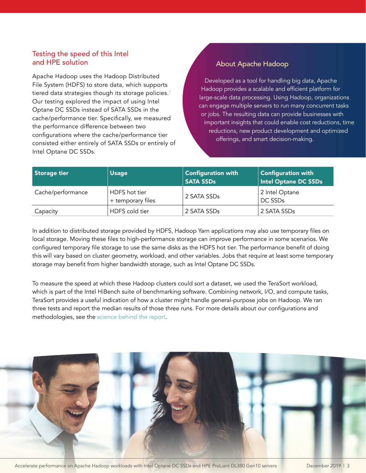### Testing the speed of this Intel and HPE solution

Apache Hadoop uses the Hadoop Distributed File System (HDFS) to store data, which supports tiered data strategies though its storage policies.<sup>7</sup> Our testing explored the impact of using Intel Optane DC SSDs instead of SATA SSDs in the cache/performance tier. Specifically, we measured the performance difference between two configurations where the cache/performance tier consisted either entirely of SATA SSDs or entirely of Intel Optane DC SSDs.

### About Apache Hadoop

Developed as a tool for handling big data, Apache Hadoop provides a scalable and efficient platform for large-scale data processing. Using Hadoop, organizations can engage multiple servers to run many concurrent tasks or jobs. The resulting data can provide businesses with important insights that could enable cost reductions, time reductions, new product development and optimized offerings, and smart decision-making.

| Storage tier      | <b>Usage</b>                       | <b>Configuration with</b><br><b>SATA SSDs</b> | <b>Configuration with</b><br>Intel Optane DC SSDs |
|-------------------|------------------------------------|-----------------------------------------------|---------------------------------------------------|
| Cache/performance | HDFS hot tier<br>+ temporary files | 2 SATA SSDs                                   | 2 Intel Optane<br>DC SSDs                         |
| Capacity          | HDFS cold tier                     | 2 SATA SSDs                                   | 2 SATA SSDs                                       |

In addition to distributed storage provided by HDFS, Hadoop Yarn applications may also use temporary files on local storage. Moving these files to high-performance storage can improve performance in some scenarios. We configured temporary file storage to use the same disks as the HDFS hot tier. The performance benefit of doing this will vary based on cluster geometry, workload, and other variables. Jobs that require at least some temporary storage may benefit from higher bandwidth storage, such as Intel Optane DC SSDs.

To measure the speed at which these Hadoop clusters could sort a dataset, we used the TeraSort workload, which is part of the Intel HiBench suite of benchmarking software. Combining network, I/O, and compute tasks, TeraSort provides a useful indication of how a cluster might handle general-purpose jobs on Hadoop. We ran three tests and report the median results of those three runs. For more details about our configurations and methodologies, see the [science behind the report](http://facts.pt/nnmqwtj).



Accelerate performance on Apache Hadoop workloads with Intel Optane DC SSDs and HPE ProLiant DL380 Gen10 servers December 2019 | 3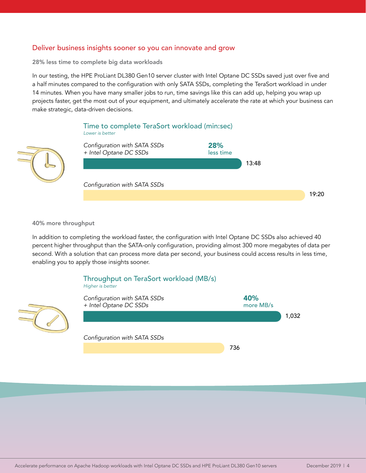#### Deliver business insights sooner so you can innovate and grow

28% less time to complete big data workloads

In our testing, the HPE ProLiant DL380 Gen10 server cluster with Intel Optane DC SSDs saved just over five and a half minutes compared to the configuration with only SATA SSDs, completing the TeraSort workload in under 14 minutes. When you have many smaller jobs to run, time savings like this can add up, helping you wrap up projects faster, get the most out of your equipment, and ultimately accelerate the rate at which your business can make strategic, data-driven decisions.



#### 40% more throughput

 $\overline{\mathcal{A}}$ 

In addition to completing the workload faster, the configuration with Intel Optane DC SSDs also achieved 40 percent higher throughput than the SATA-only configuration, providing almost 300 more megabytes of data per second. With a solution that can process more data per second, your business could access results in less time, enabling you to apply those insights sooner.